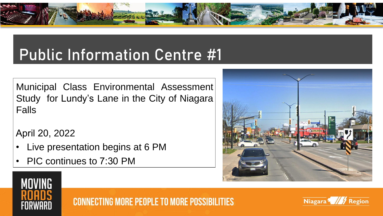

# Public Information Centre #1

Municipal Class Environmental Assessment Study for Lundy's Lane in the City of Niagara Falls

April 20, 2022

- Live presentation begins at 6 PM
- PIC continues to 7:30 PM





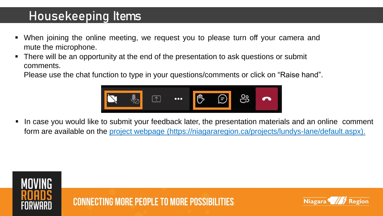### Housekeeping Items

- When joining the online meeting, we request you to please turn off your camera and mute the microphone.
- There will be an opportunity at the end of the presentation to ask questions or submit comments.

Please use the chat function to type in your questions/comments or click on "Raise hand".



In case you would like to submit your feedback later, the presentation materials and an online comment form are available on the project webpage (<https://niagararegion.ca/projects/lundys-lane/default.aspx>).



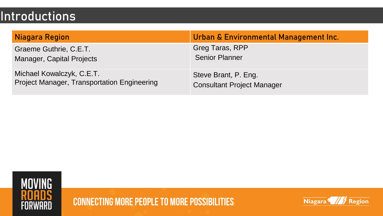### **Introductions**

| Niagara Region                                     | Urban & Environmental Management Inc. |
|----------------------------------------------------|---------------------------------------|
| Graeme Guthrie, C.E.T.                             | Greg Taras, RPP                       |
| <b>Manager, Capital Projects</b>                   | <b>Senior Planner</b>                 |
| Michael Kowalczyk, C.E.T.                          | Steve Brant, P. Eng.                  |
| <b>Project Manager, Transportation Engineering</b> | <b>Consultant Project Manager</b>     |



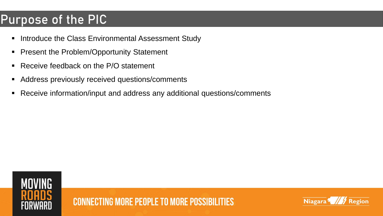### Purpose of the PIC

- **.** Introduce the Class Environmental Assessment Study
- **Present the Problem/Opportunity Statement**
- Receive feedback on the P/O statement
- Address previously received questions/comments
- Receive information/input and address any additional questions/comments



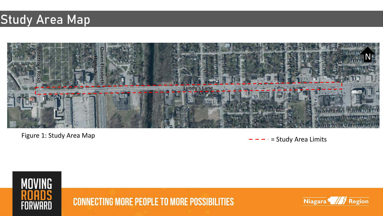### Study Area Map



Figure 1: Study Area Map  $- - - -$  Study Area Limits



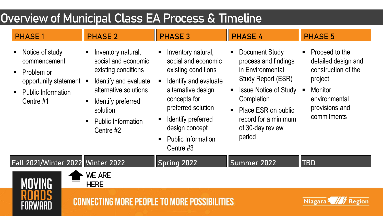### Overview of Municipal Class EA Process & Timeline

#### PHASE 1 PHASE 2 PHASE 3 PHASE 4 PHASE 5

- Notice of study commencement
- Problem or opportunity statement
- **Public Information** Centre #1
- Inventory natural, social and economic existing conditions
- Identify and evaluate alternative solutions
- Identify preferred solution
- Public Information Centre #2
- Inventory natural, social and economic existing conditions
- Identify and evaluate alternative design concepts for preferred solution
- Identify preferred design concept
- **Public Information** Centre #3
- **Document Study** process and findings in Environmental Study Report (ESR)
- **Issue Notice of Study Completion**
- Place ESR on public record for a minimum of 30-day review period
- Proceed to the detailed design and construction of the project
- **Monitor** environmental provisions and commitments

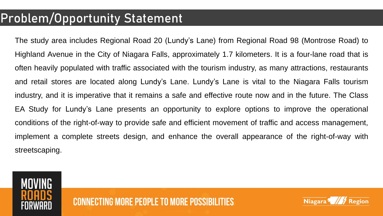### Problem/Opportunity Statement

The study area includes Regional Road 20 (Lundy's Lane) from Regional Road 98 (Montrose Road) to Highland Avenue in the City of Niagara Falls, approximately 1.7 kilometers. It is a four-lane road that is often heavily populated with traffic associated with the tourism industry, as many attractions, restaurants and retail stores are located along Lundy's Lane. Lundy's Lane is vital to the Niagara Falls tourism industry, and it is imperative that it remains a safe and effective route now and in the future. The Class EA Study for Lundy's Lane presents an opportunity to explore options to improve the operational conditions of the right-of-way to provide safe and efficient movement of traffic and access management, implement a complete streets design, and enhance the overall appearance of the right-of-way with streetscaping.



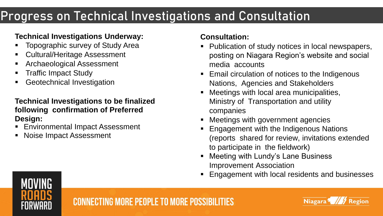### Progress on Technical Investigations and Consultation

#### **Technical Investigations Underway:**

- Topographic survey of Study Area
- **Cultural/Heritage Assessment**
- **Archaeological Assessment**
- **Traffic Impact Study**
- **Geotechnical Investigation**

#### **Technical Investigations to be finalized following confirmation of Preferred Design:**

- **Environmental Impact Assessment**
- **Noise Impact Assessment**

#### **Consultation:**

- Publication of study notices in local newspapers, posting on Niagara Region's website and social media accounts
- Email circulation of notices to the Indigenous Nations, Agencies and Stakeholders
- Meetings with local area municipalities, Ministry of Transportation and utility companies
- Meetings with government agencies
- Engagement with the Indigenous Nations (reports shared for review, invitations extended to participate in the fieldwork)
- Meeting with Lundy's Lane Business Improvement Association
- **Engagement with local residents and businesses**



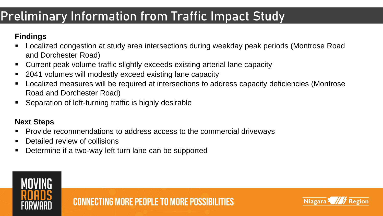### Preliminary Information from Traffic Impact Study

#### **Findings**

- Localized congestion at study area intersections during weekday peak periods (Montrose Road and Dorchester Road)
- Current peak volume traffic slightly exceeds existing arterial lane capacity
- 2041 volumes will modestly exceed existing lane capacity
- Localized measures will be required at intersections to address capacity deficiencies (Montrose Road and Dorchester Road)
- Separation of left-turning traffic is highly desirable

#### **Next Steps**

- Provide recommendations to address access to the commercial driveways
- Detailed review of collisions
- Determine if a two-way left turn lane can be supported



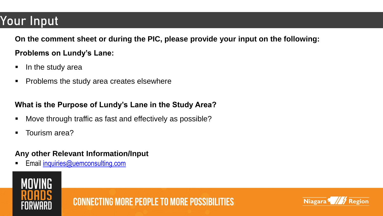### Your Input

**On the comment sheet or during the PIC, please provide your input on the following:**

#### **Problems on Lundy's Lane:**

- In the study area
- Problems the study area creates elsewhere

#### **What is the Purpose of Lundy's Lane in the Study Area?**

- Move through traffic as fast and effectively as possible?
- Tourism area?

#### **Any other Relevant Information/Input**

Email [inquiries@uemconsulting.com](mailto:inquiries@uemconsulting.com)



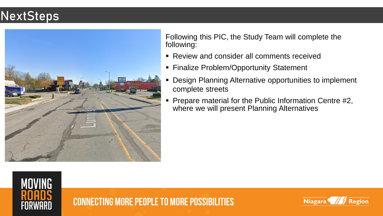### **NextSteps**



Following this PIC, the Study Team will complete the following:

- Review and consider all comments received
- **Example Exercice Problem/Opportunity Statement**
- Design Planning Alternative opportunities to implement complete streets
- Prepare material for the Public Information Centre #2, where we will present Planning Alternatives



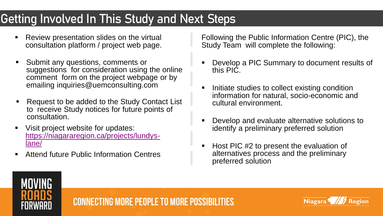## Getting Involved In This Study and Next Steps

- Review presentation slides on the virtual consultation platform / project web page.
- Submit any questions, comments or suggestions for consideration using the online comment form on the project webpage or by emailing inquiries@uemconsulting.com
- Request to be added to the Study Contact List to receive Study notices for future points of consultation.
- Visit project website for updates: [https://niagararegion.ca/projects/lundys](https://niagararegion.ca/projects/lundys-lane/)lane/
- Attend future Public Information Centres

Following the Public Information Centre (PIC), the Study Team will complete the following:

- Develop a PIC Summary to document results of this PIC.
- **EXEDEE STEEP Initiate studies to collect existing condition** information for natural, socio-economic and cultural environment.
- Develop and evaluate alternative solutions to identify a preliminary preferred solution
- Host PIC #2 to present the evaluation of alternatives process and the preliminary preferred solution